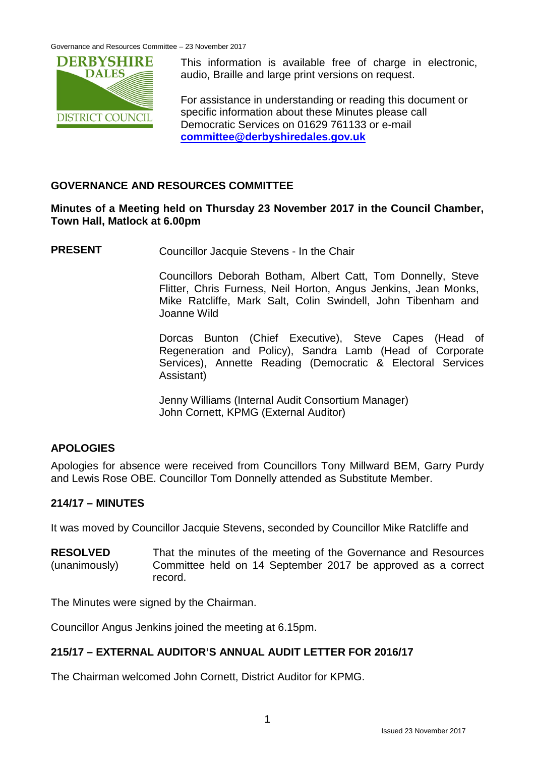Governance and Resources Committee – 23 November 2017



This information is available free of charge in electronic, audio, Braille and large print versions on request.

For assistance in understanding or reading this document or specific information about these Minutes please call Democratic Services on 01629 761133 or e-mail **[committee@derbyshiredales.gov.uk](mailto:committee@derbyshiredales.gov.uk)**

# **GOVERNANCE AND RESOURCES COMMITTEE**

### **Minutes of a Meeting held on Thursday 23 November 2017 in the Council Chamber, Town Hall, Matlock at 6.00pm**

**PRESENT** Councillor Jacquie Stevens - In the Chair

Councillors Deborah Botham, Albert Catt, Tom Donnelly, Steve Flitter, Chris Furness, Neil Horton, Angus Jenkins, Jean Monks, Mike Ratcliffe, Mark Salt, Colin Swindell, John Tibenham and Joanne Wild

Dorcas Bunton (Chief Executive), Steve Capes (Head of Regeneration and Policy), Sandra Lamb (Head of Corporate Services), Annette Reading (Democratic & Electoral Services Assistant)

Jenny Williams (Internal Audit Consortium Manager) John Cornett, KPMG (External Auditor)

# **APOLOGIES**

Apologies for absence were received from Councillors Tony Millward BEM, Garry Purdy and Lewis Rose OBE. Councillor Tom Donnelly attended as Substitute Member.

## **214/17 – MINUTES**

It was moved by Councillor Jacquie Stevens, seconded by Councillor Mike Ratcliffe and

**RESOLVED** (unanimously) That the minutes of the meeting of the Governance and Resources Committee held on 14 September 2017 be approved as a correct record.

The Minutes were signed by the Chairman.

Councillor Angus Jenkins joined the meeting at 6.15pm.

## **215/17 – EXTERNAL AUDITOR'S ANNUAL AUDIT LETTER FOR 2016/17**

The Chairman welcomed John Cornett, District Auditor for KPMG.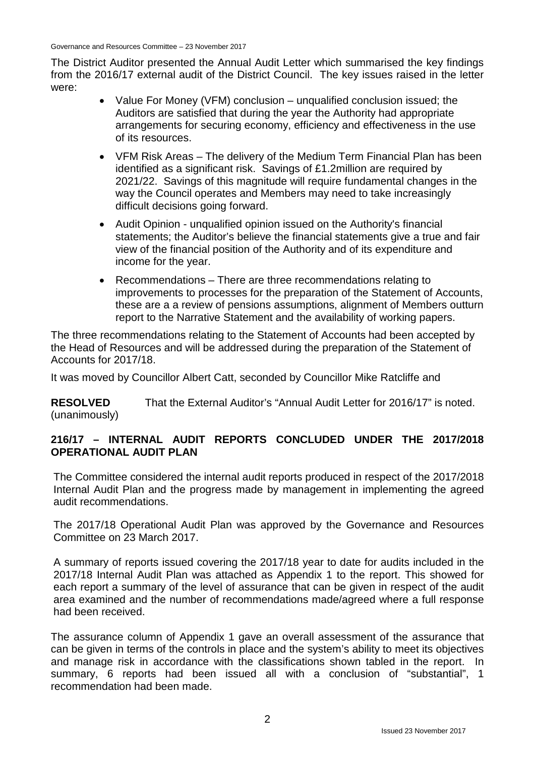The District Auditor presented the Annual Audit Letter which summarised the key findings from the 2016/17 external audit of the District Council. The key issues raised in the letter were:

- Value For Money (VFM) conclusion unqualified conclusion issued; the Auditors are satisfied that during the year the Authority had appropriate arrangements for securing economy, efficiency and effectiveness in the use of its resources.
- VFM Risk Areas The delivery of the Medium Term Financial Plan has been identified as a significant risk. Savings of £1.2million are required by 2021/22. Savings of this magnitude will require fundamental changes in the way the Council operates and Members may need to take increasingly difficult decisions going forward.
- Audit Opinion unqualified opinion issued on the Authority's financial statements; the Auditor's believe the financial statements give a true and fair view of the financial position of the Authority and of its expenditure and income for the year.
- Recommendations There are three recommendations relating to improvements to processes for the preparation of the Statement of Accounts, these are a a review of pensions assumptions, alignment of Members outturn report to the Narrative Statement and the availability of working papers.

The three recommendations relating to the Statement of Accounts had been accepted by the Head of Resources and will be addressed during the preparation of the Statement of Accounts for 2017/18.

It was moved by Councillor Albert Catt, seconded by Councillor Mike Ratcliffe and

**RESOLVED** (unanimously) That the External Auditor's "Annual Audit Letter for 2016/17" is noted.

## **216/17 – INTERNAL AUDIT REPORTS CONCLUDED UNDER THE 2017/2018 OPERATIONAL AUDIT PLAN**

The Committee considered the internal audit reports produced in respect of the 2017/2018 Internal Audit Plan and the progress made by management in implementing the agreed audit recommendations.

The 2017/18 Operational Audit Plan was approved by the Governance and Resources Committee on 23 March 2017.

A summary of reports issued covering the 2017/18 year to date for audits included in the 2017/18 Internal Audit Plan was attached as Appendix 1 to the report. This showed for each report a summary of the level of assurance that can be given in respect of the audit area examined and the number of recommendations made/agreed where a full response had been received.

The assurance column of Appendix 1 gave an overall assessment of the assurance that can be given in terms of the controls in place and the system's ability to meet its objectives and manage risk in accordance with the classifications shown tabled in the report. In summary, 6 reports had been issued all with a conclusion of "substantial", 1 recommendation had been made.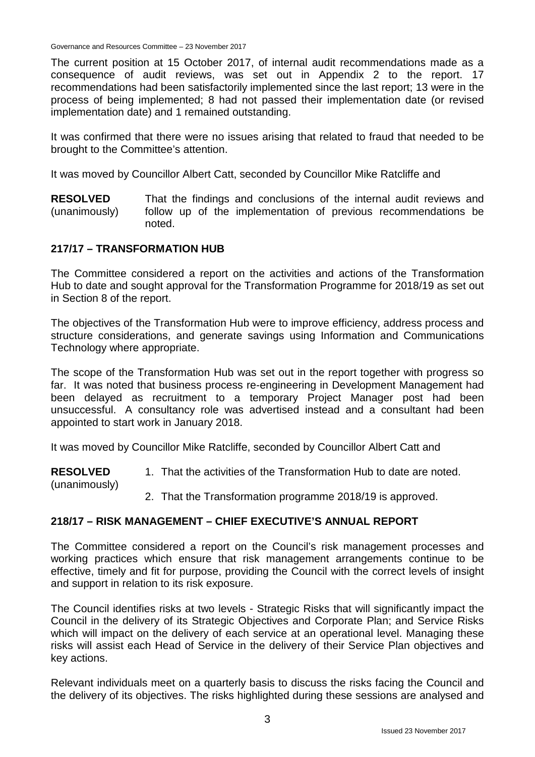Governance and Resources Committee – 23 November 2017

The current position at 15 October 2017, of internal audit recommendations made as a consequence of audit reviews, was set out in Appendix 2 to the report. 17 recommendations had been satisfactorily implemented since the last report; 13 were in the process of being implemented; 8 had not passed their implementation date (or revised implementation date) and 1 remained outstanding.

It was confirmed that there were no issues arising that related to fraud that needed to be brought to the Committee's attention.

It was moved by Councillor Albert Catt, seconded by Councillor Mike Ratcliffe and

**RESOLVED** (unanimously) That the findings and conclusions of the internal audit reviews and follow up of the implementation of previous recommendations be noted.

#### **217/17 – TRANSFORMATION HUB**

(unanimously)

The Committee considered a report on the activities and actions of the Transformation Hub to date and sought approval for the Transformation Programme for 2018/19 as set out in Section 8 of the report.

The objectives of the Transformation Hub were to improve efficiency, address process and structure considerations, and generate savings using Information and Communications Technology where appropriate.

The scope of the Transformation Hub was set out in the report together with progress so far. It was noted that business process re-engineering in Development Management had been delayed as recruitment to a temporary Project Manager post had been unsuccessful. A consultancy role was advertised instead and a consultant had been appointed to start work in January 2018.

It was moved by Councillor Mike Ratcliffe, seconded by Councillor Albert Catt and

**RESOLVED** 1. That the activities of the Transformation Hub to date are noted.

2. That the Transformation programme 2018/19 is approved.

#### **218/17 – RISK MANAGEMENT – CHIEF EXECUTIVE'S ANNUAL REPORT**

The Committee considered a report on the Council's risk management processes and working practices which ensure that risk management arrangements continue to be effective, timely and fit for purpose, providing the Council with the correct levels of insight and support in relation to its risk exposure.

The Council identifies risks at two levels - Strategic Risks that will significantly impact the Council in the delivery of its Strategic Objectives and Corporate Plan; and Service Risks which will impact on the delivery of each service at an operational level. Managing these risks will assist each Head of Service in the delivery of their Service Plan objectives and key actions.

Relevant individuals meet on a quarterly basis to discuss the risks facing the Council and the delivery of its objectives. The risks highlighted during these sessions are analysed and